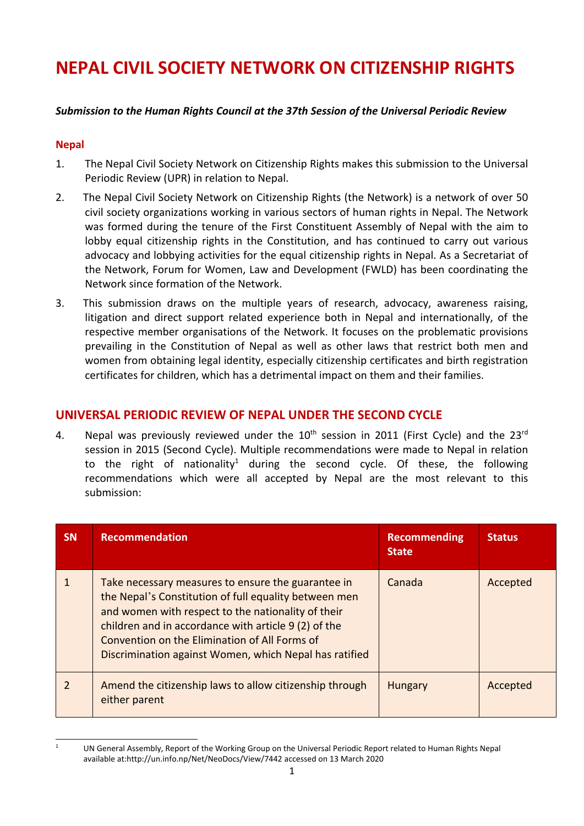# **NEPAL CIVIL SOCIETY NETWORK ON CITIZENSHIP RIGHTS**

## *Submission to the Human Rights Council at the 37th Session of the Universal Periodic Review*

## **Nepal**

- 1. The Nepal Civil Society Network on Citizenship Rights makes this submission to the Universal Periodic Review (UPR) in relation to Nepal.
- 2. The Nepal Civil Society Network on Citizenship Rights (the Network) is <sup>a</sup> network of over 50 civil society organizations working in various sectors of human rights in Nepal. The Network was formed during the tenure of the First Constituent Assembly of Nepal with the aim to lobby equal citizenship rights in the Constitution, and has continued to carry out various advocacy and lobbying activities for the equal citizenship rights in Nepal. As <sup>a</sup> Secretariat of the Network, Forum for Women, Law and Development (FWLD) has been coordinating the Network since formation of the Network.
- 3. This submission draws on the multiple years of research, advocacy, awareness raising, litigation and direct support related experience both in Nepal and internationally, of the respective member organisations of the Network. It focuses on the problematic provisions prevailing in the Constitution of Nepal as well as other laws that restrict both men and women from obtaining legal identity, especially citizenship certificates and birth registration certificates for children, which has <sup>a</sup> detrimental impact on them and their families.

# **UNIVERSAL PERIODIC REVIEW OF NEPAL UNDER THE SECOND CYCLE**

4. Nepal was previously reviewed under the  $10^{\text{th}}$  session in 2011 (First Cycle) and the 23<sup>rd</sup> session in 2015 (Second Cycle). Multiple recommendations were made to Nepal in relation to the right of nationality 1 during the second cycle. Of these, the following recommendations which were all accepted by Nepal are the most relevant to this submission:

| <b>SN</b>     | <b>Recommendation</b>                                                                                                                                                                                                                                                                                                                | <b>Recommending</b><br><b>State</b> | <b>Status</b> |
|---------------|--------------------------------------------------------------------------------------------------------------------------------------------------------------------------------------------------------------------------------------------------------------------------------------------------------------------------------------|-------------------------------------|---------------|
|               | Take necessary measures to ensure the guarantee in<br>the Nepal's Constitution of full equality between men<br>and women with respect to the nationality of their<br>children and in accordance with article 9 (2) of the<br>Convention on the Elimination of All Forms of<br>Discrimination against Women, which Nepal has ratified | Canada                              | Accepted      |
| $\mathcal{P}$ | Amend the citizenship laws to allow citizenship through<br>either parent                                                                                                                                                                                                                                                             | <b>Hungary</b>                      | Accepted      |

<sup>1</sup> UN General Assembly, Report of the Working Group on the Universal Periodic Report related to Human Rights Nepal available at:<http://un.info.np/Net/NeoDocs/View/7442> accessed on 13 March 2020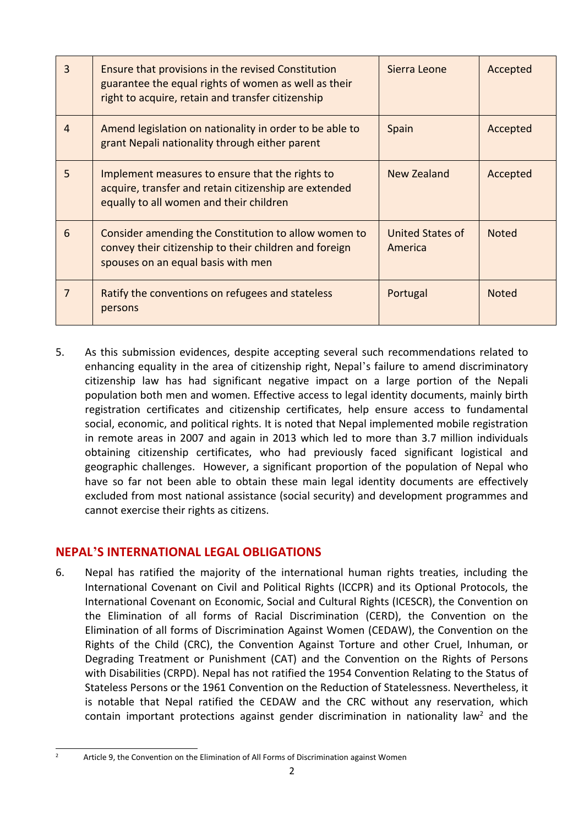| $\overline{3}$ | Ensure that provisions in the revised Constitution<br>guarantee the equal rights of women as well as their<br>right to acquire, retain and transfer citizenship | Sierra Leone                | Accepted     |
|----------------|-----------------------------------------------------------------------------------------------------------------------------------------------------------------|-----------------------------|--------------|
| $\overline{4}$ | Amend legislation on nationality in order to be able to<br>grant Nepali nationality through either parent                                                       | Spain                       | Accepted     |
| 5              | Implement measures to ensure that the rights to<br>acquire, transfer and retain citizenship are extended<br>equally to all women and their children             | New Zealand                 | Accepted     |
| 6              | Consider amending the Constitution to allow women to<br>convey their citizenship to their children and foreign<br>spouses on an equal basis with men            | United States of<br>America | <b>Noted</b> |
| 7              | Ratify the conventions on refugees and stateless<br>persons                                                                                                     | Portugal                    | <b>Noted</b> |

5. As this submission evidences, despite accepting several such recommendations related to enhancing equality in the area of citizenship right, Nepal'<sup>s</sup> failure to amend discriminatory citizenship law has had significant negative impact on <sup>a</sup> large portion of the Nepali population both men and women. Effective access to legal identity documents, mainly birth registration certificates and citizenship certificates, help ensure access to fundamental social, economic, and political rights. It is noted that Nepal implemented mobile registration in remote areas in 2007 and again in 2013 which led to more than 3.7 million individuals obtaining citizenship certificates, who had previously faced significant logistical and geographic challenges. However, <sup>a</sup> significant proportion of the population of Nepal who have so far not been able to obtain these main legal identity documents are effectively excluded from most national assistance (social security) and development programmes and cannot exercise their rights as citizens.

# **NEPAL'S INTERNATIONAL LEGAL OBLIGATIONS**

6. Nepal has ratified the majority of the international human rights treaties, including the International Covenant on Civil and Political Rights (ICCPR) and its Optional Protocols, the International Covenant on Economic, Social and Cultural Rights (ICESCR), the Convention on the Elimination of all forms of Racial Discrimination (CERD), the Convention on the Elimination of all forms of Discrimination Against Women (CEDAW), the Convention on the Rights of the Child (CRC), the Convention Against Torture and other Cruel, Inhuman, or Degrading Treatment or Punishment (CAT) and the Convention on the Rights of Persons with Disabilities (CRPD). Nepal has not ratified the 1954 Convention Relating to the Status of Stateless Persons or the 1961 Convention on the Reduction of Statelessness. Nevertheless, it is notable that Nepal ratified the CEDAW and the CRC without any reservation, which contain important protections against gender discrimination in nationality law<sup>2</sup> and the

<sup>2</sup>

Article 9, the Convention on the Elimination of All Forms of Discrimination against Women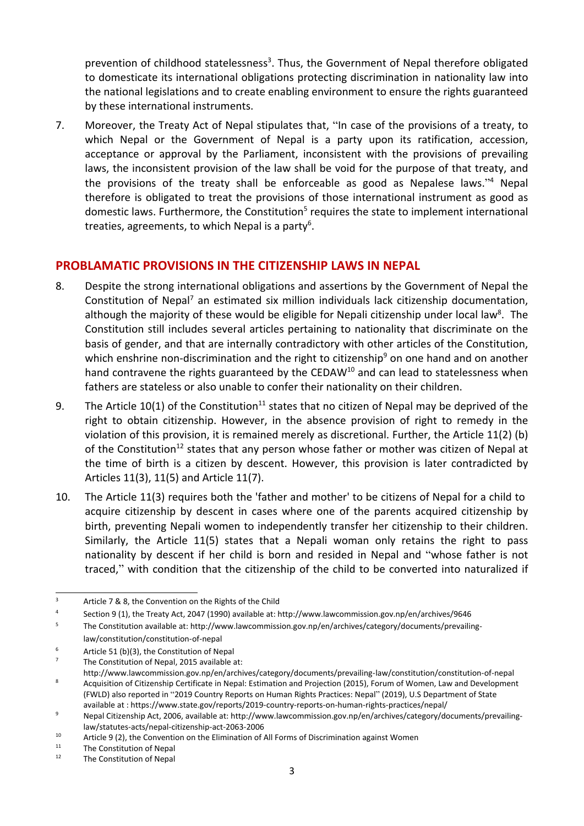prevention of childhood statelessness<sup>3</sup>. Thus, the Government of Nepal therefore obligated to domesticate its international obligations protecting discrimination in nationality law into the national legislations and to create enabling environment to ensure the rights guaranteed by these international instruments.

7. Moreover, the Treaty Act of Nepal stipulates that, "In case of the provisions of <sup>a</sup> treaty, to which Nepal or the Government of Nepal is <sup>a</sup> party upon its ratification, accession, acceptance or approval by the Parliament, inconsistent with the provisions of prevailing laws, the inconsistent provision of the law shall be void for the purpose of that treaty, and the provisions of the treaty shall be enforceable as good as Nepalese laws."<sup>4</sup> Nepal therefore is obligated to treat the provisions of those international instrument as good as domestic laws. Furthermore, the Constitution<sup>5</sup> requires the state to implement international treaties, agreements, to which Nepal is a party<sup>6</sup>.

# **PROBLAMATIC PROVISIONS IN THE CITIZENSHIP LAWS IN NEPAL**

- 8. Despite the strong international obligations and assertions by the Government of Nepal the Constitution of Nepal<sup>7</sup> an estimated six million individuals lack citizenship documentation, although the majority of these would be eligible for Nepali citizenship under local law<sup>8</sup>. The Constitution still includes several articles pertaining to nationality that discriminate on the basis of gender, and that are internally contradictory with other articles of the Constitution, which enshrine non-discrimination and the right to citizenship<sup>9</sup> on one hand and on another hand contravene the rights guaranteed by the CEDAW<sup>10</sup> and can lead to statelessness when fathers are stateless or also unable to confer their nationality on their children.
- 9. The Article 10(1) of the Constitution<sup>11</sup> states that no citizen of Nepal may be deprived of the right to obtain citizenship. However, in the absence provision of right to remedy in the violation of this provision, it is remained merely as discretional. Further, the Article 11(2) (b) of the Constitution<sup>12</sup> states that any person whose father or mother was citizen of Nepal at the time of birth is <sup>a</sup> citizen by descent. However, this provision is later contradicted by Articles 11(3), 11(5) and Article 11(7).
- 10. The Article 11(3) requires both the 'father and mother' to be citizens of Nepal for <sup>a</sup> child to acquire citizenship by descent in cases where one of the parents acquired citizenship by birth, preventing Nepali women to independently transfer her citizenship to their children. Similarly, the Article 11(5) states that <sup>a</sup> Nepali woman only retains the right to pass nationality by descent if her child is born and resided in Nepal and "whose father is not traced," with condition that the citizenship of the child to be converted into naturalized if

<sup>3</sup> Article 7 & 8, the Convention on the Rights of the Child

<sup>4</sup> Section 9 (1), the Treaty Act, 2047 (1990) available at: <http://www.lawcommission.gov.np/en/archives/9646>

<sup>5</sup> The Constitution available at: [http://www.lawcommission.gov.np/en/archives/category/documents/prevailing](http://www.lawcommission.gov.np/en/archives/category/documents/prevailing-law/constitution/constitution-of-nepal)[law/constitution/constitution-of-nepal](http://www.lawcommission.gov.np/en/archives/category/documents/prevailing-law/constitution/constitution-of-nepal)

<sup>6</sup> Article 51 (b)(3), the Constitution of Nepal

<sup>7</sup> The Constitution of Nepal, 2015 available at:

<http://www.lawcommission.gov.np/en/archives/category/documents/prevailing-law/constitution/constitution-of-nepal> 8 Acquisition of Citizenship Certificate in Nepal: Estimation and Projection (2015), Forum of Women, Law and Development (FWLD) also reported in "2019 Country Reports on Human Rights Practices: Nepal" (2019), U.S Department of State available at : [https://www.state.gov/reports/2019-country-reports-on-human-rights-practices/nepal/](https://www.state.gov/reports/2019-country-reports-on-human-rights-practices/nepal/?fbclid=IwAR0u_0hgjwxRB78KkZzn_CR2L2opNiJ4hEC7x0Pms4r7eD8A5JloE8H69W0#.Xmn-Vy6t-5w.facebook)

<sup>9</sup> Nepal Citizenship Act, 2006, available at: [http://www.lawcommission.gov.np/en/archives/category/documents/prevailing](http://www.lawcommission.gov.np/en/archives/category/documents/prevailing-law/statutes-acts/nepal-citizenship-act-2063-2006)[law/statutes-acts/nepal-citizenship-act-2063-2006](http://www.lawcommission.gov.np/en/archives/category/documents/prevailing-law/statutes-acts/nepal-citizenship-act-2063-2006)

<sup>10</sup> Article 9 (2), the Convention on the Elimination of All Forms of Discrimination against Women

<sup>11</sup> The Constitution of Nepal

<sup>12</sup> The Constitution of Nepal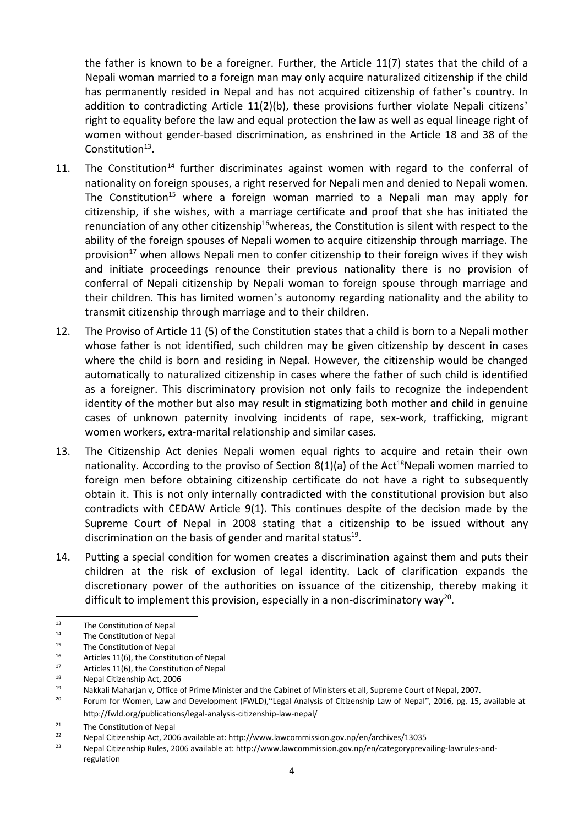the father is known to be <sup>a</sup> foreigner. Further, the Article 11(7) states that the child of <sup>a</sup> Nepali woman married to <sup>a</sup> foreign man may only acquire naturalized citizenship if the child has permanently resided in Nepal and has not acquired citizenship of father'<sup>s</sup> country. In addition to contradicting Article 11(2)(b), these provisions further violate Nepali citizens' right to equality before the law and equal protection the law as well as equal lineage right of women without gender-based discrimination, as enshrined in the Article 18 and 38 of the Constitution $^{13}$ .

- 11. The Constitution<sup>14</sup> further discriminates against women with regard to the conferral of nationality on foreign spouses, <sup>a</sup> right reserved for Nepali men and denied to Nepali women. The Constitution<sup>15</sup> where a foreign woman married to a Nepali man may apply for citizenship, if she wishes, with <sup>a</sup> marriage certificate and proof that she has initiated the renunciation of any other citizenship<sup>16</sup>whereas, the Constitution is silent with respect to the ability of the foreign spouses of Nepali women to acquire citizenship through marriage. The provision<sup>17</sup> when allows Nepali men to confer citizenship to their foreign wives if they wish and initiate proceedings renounce their previous nationality there is no provision of conferral of Nepali citizenship by Nepali woman to foreign spouse through marriage and their children. This has limited women'<sup>s</sup> autonomy regarding nationality and the ability to transmit citizenship through marriage and to their children.
- 12. The Proviso of Article 11 (5) of the Constitution states that <sup>a</sup> child is born to <sup>a</sup> Nepali mother whose father is not identified, such children may be given citizenship by descent in cases where the child is born and residing in Nepal. However, the citizenship would be changed automatically to naturalized citizenship in cases where the father of such child is identified as <sup>a</sup> foreigner. This discriminatory provision not only fails to recognize the independent identity of the mother but also may result in stigmatizing both mother and child in genuine cases of unknown paternity involving incidents of rape, sex-work, trafficking, migrant women workers, extra-marital relationship and similar cases.
- 13. The Citizenship Act denies Nepali women equal rights to acquire and retain their own nationality. According to the proviso of Section 8(1)(a) of the Act<sup>18</sup>Nepali women married to foreign men before obtaining citizenship certificate do not have <sup>a</sup> right to subsequently obtain it. This is not only internally contradicted with the constitutional provision but also contradicts with CEDAW Article 9(1). This continues despite of the decision made by the Supreme Court of Nepal in 2008 stating that <sup>a</sup> citizenship to be issued without any discrimination on the basis of gender and marital status<sup>19</sup>.
- 14. Putting <sup>a</sup> special condition for women creates <sup>a</sup> discrimination against them and puts their children at the risk of exclusion of legal identity. Lack of clarification expands the discretionary power of the authorities on issuance of the citizenship, thereby making it difficult to implement this provision, especially in a non-discriminatory way<sup>20</sup>.

<sup>13</sup> The Constitution of Nepal

<sup>14</sup> The Constitution of Nepal

<sup>15</sup> The Constitution of Nepal

<sup>16</sup> Articles 11(6), the Constitution of Nepal

<sup>17</sup> Articles 11(6), the Constitution of Nepal

<sup>18</sup> Nepal Citizenship Act, 2006

<sup>19</sup> Nakkali Maharjan v, Office of Prime Minister and the Cabinet of Ministers et all, Supreme Court of Nepal, 2007.

<sup>20</sup> Forum for Women, Law and Development (FWLD),"Legal Analysis of Citizenship Law of Nepal", 2016, pg. 15, available at http://fwld.org/publications/legal-analysis-citizenship-law-nepal/

<sup>21</sup> The Constitution of Nepal

<sup>22</sup> Nepal Citizenship Act, 2006 available at: <http://www.lawcommission.gov.np/en/archives/13035>

<sup>23</sup> Nepal Citizenship Rules, 2006 available at: [http://www.lawcommission.gov.np/en/categoryprevailing-lawrules-and](http://www.lawcommission.gov.np/en/categoryprevailing-lawrules-and-regulation)[regulation](http://www.lawcommission.gov.np/en/categoryprevailing-lawrules-and-regulation)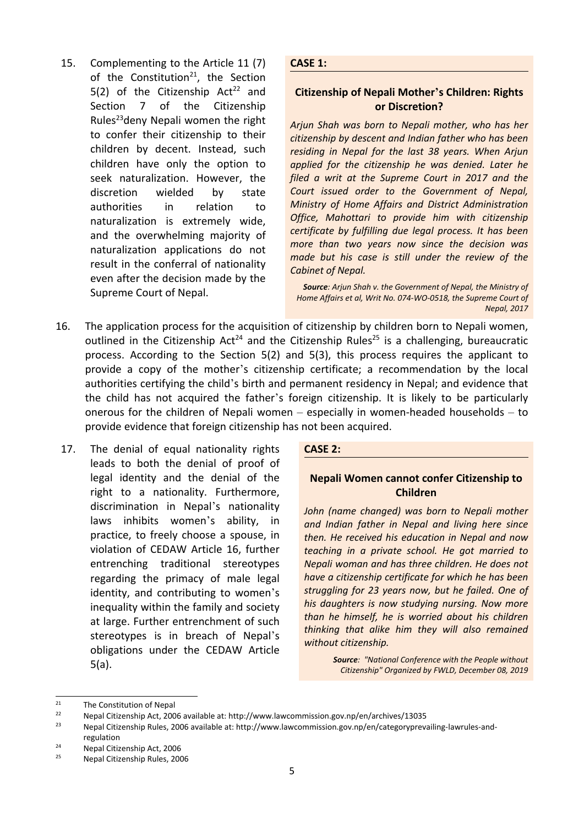15. Complementing to the Article 11 (7) of the Constitution<sup>21</sup>, the Section 5(2) of the Citizenship Act<sup>22</sup> and Section 7 of the Citizenship Rules<sup>23</sup>deny Nepali women the right to confer their citizenship to their children by decent. Instead, such children have only the option to seek naturalization. However, the discretion wielded by state authorities in relation to naturalization is extremely wide, and the overwhelming majority of naturalization applications do not result in the conferral of nationality even after the decision made by the Supreme Court of Nepal.

**CASE 1:**

## **Citizenship of Nepali Mother'<sup>s</sup> Children: Rights or Discretion?**

*Arjun Shah was born to Nepali mother, who has her citizenship by descent and Indian father who has been residing in Nepal for the last 38 years. When Arjun applied for the citizenship he was denied. Later he filed <sup>a</sup> writ at the Supreme Court in 2017 and the Court issued order to the Government of Nepal, Ministry of Home Affairs and District Administration Office, Mahottari to provide him with citizenship certificate by fulfilling due legal process. It has been more than two years now since the decision was made but his case is still under the review of the Cabinet of Nepal.*

*Source: Arjun Shah v. the Government of Nepal, the Ministry of Home Affairs et al, Writ No. 074-WO-0518, the Supreme Court of Nepal, 2017*

- 16. The application process for the acquisition of citizenship by children born to Nepali women, outlined in the Citizenship Act<sup>24</sup> and the Citizenship Rules<sup>25</sup> is a challenging, bureaucratic process. According to the Section 5(2) and 5(3), this process requires the applicant to provide <sup>a</sup> copy of the mother'<sup>s</sup> citizenship certificate; <sup>a</sup> recommendation by the local authorities certifying the child'<sup>s</sup> birth and permanent residency in Nepal; and evidence that the child has not acquired the father'<sup>s</sup> foreign citizenship. It is likely to be particularly onerous for the children of Nepali women – especially in women-headed households – to provide evidence that foreign citizenship has not been acquired.
- 17. The denial of equal nationality rights leads to both the denial of proof of legal identity and the denial of the right to <sup>a</sup> nationality. Furthermore, discrimination in Nepal'<sup>s</sup> nationality laws inhibits women'<sup>s</sup> ability, in practice, to freely choose <sup>a</sup> spouse, in violation of CEDAW Article 16, further entrenching traditional stereotypes regarding the primacy of male legal identity, and contributing to women'<sup>s</sup> inequality within the family and society at large. Further entrenchment of such stereotypes is in breach of Nepal'<sup>s</sup> obligations under the CEDAW Article 5(a).

#### **CASE 2:**

## **Nepali Women cannot confer Citizenship to Children**

*John (name changed) was born to Nepali mother and Indian father in Nepal and living here since then. He received his education in Nepal and now teaching in <sup>a</sup> private school. He got married to Nepali woman and has three children. He does not have <sup>a</sup> citizenship certificate for which he has been struggling for 23 years now, but he failed. One of his daughters is now studying nursing. Now more than he himself, he is worried about his children thinking that alike him they will also remained without citizenship.*

> *Source: "National Conference with the People without Citizenship" Organized by FWLD, December 08, 2019*

23 Nepal Citizenship Rules, 2006 available at: [http://www.lawcommission.gov.np/en/categoryprevailing-lawrules-and](http://www.lawcommission.gov.np/en/categoryprevailing-lawrules-and-regulation)[regulation](http://www.lawcommission.gov.np/en/categoryprevailing-lawrules-and-regulation)

<sup>21</sup> The Constitution of Nepal

<sup>22</sup> Nepal Citizenship Act, 2006 available at: <http://www.lawcommission.gov.np/en/archives/13035>

<sup>24</sup> Nepal Citizenship Act, 2006

<sup>25</sup> Nepal Citizenship Rules, 2006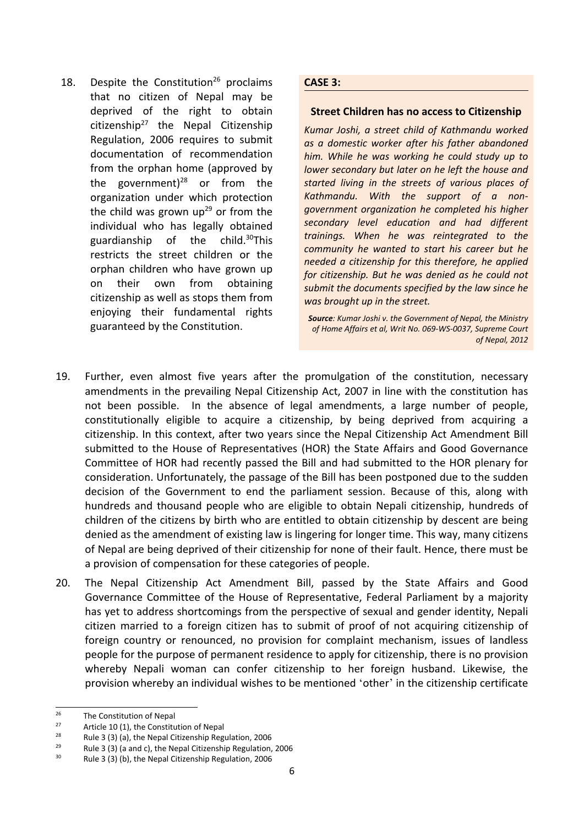18. Despite the Constitution<sup>26</sup> proclaims that no citizen of Nepal may be deprived of the right to obtain citizenship<sup>27</sup> the Nepal Citizenship Regulation, 2006 requires to submit documentation of recommendation from the orphan home (approved by the government)<sup>28</sup> or from the organization under which protection the child was grown up<sup>29</sup> or from the individual who has legally obtained guardianship of the child.<sup>30</sup>This restricts the street children or the orphan children who have grown up on their own from obtaining citizenship as well as stops them from enjoying their fundamental rights guaranteed by the Constitution.

#### **CASE 3:**

#### **Street Children has no access to Citizenship**

*Kumar Joshi, <sup>a</sup> street child of Kathmandu worked as <sup>a</sup> domestic worker after his father abandoned him. While he was working he could study up to lower secondary but later on he left the house and started living in the streets of various places of Kathmandu. With the support of <sup>a</sup> nongovernment organization he completed his higher secondary level education and had different trainings. When he was reintegrated to the community he wanted to start his career but he needed <sup>a</sup> citizenship for this therefore, he applied for citizenship. But he was denied as he could not submit the documents specified by the law since he was brought up in the street.*

*Source: Kumar Joshi v. the Government of Nepal, the Ministry of Home Affairs et al, Writ No. 069-WS-0037, Supreme Court of Nepal, 2012*

- 19. Further, even almost five years after the promulgation of the constitution, necessary amendments in the prevailing Nepal Citizenship Act, 2007 in line with the constitution has not been possible. In the absence of legal amendments, <sup>a</sup> large number of people, constitutionally eligible to acquire <sup>a</sup> citizenship, by being deprived from acquiring <sup>a</sup> citizenship. In this context, after two years since the Nepal Citizenship Act Amendment Bill submitted to the House of Representatives (HOR) the State Affairs and Good Governance Committee of HOR had recently passed the Bill and had submitted to the HOR plenary for consideration. Unfortunately, the passage of the Bill has been postponed due to the sudden decision of the Government to end the parliament session. Because of this, along with hundreds and thousand people who are eligible to obtain Nepali citizenship, hundreds of children of the citizens by birth who are entitled to obtain citizenship by descent are being denied as the amendment of existing law is lingering for longer time. This way, many citizens of Nepal are being deprived of their citizenship for none of their fault. Hence, there must be <sup>a</sup> provision of compensation for these categories of people.
- 20. The Nepal Citizenship Act Amendment Bill, passed by the State Affairs and Good Governance Committee of the House of Representative, Federal Parliament by <sup>a</sup> majority has yet to address shortcomings from the perspective of sexual and gender identity, Nepali citizen married to <sup>a</sup> foreign citizen has to submit of proof of not acquiring citizenship of foreign country or renounced, no provision for complaint mechanism, issues of landless people for the purpose of permanent residence to apply for citizenship, there is no provision whereby Nepali woman can confer citizenship to her foreign husband. Likewise, the provision whereby an individual wishes to be mentioned 'other' in the citizenship certificate

<sup>26</sup> The Constitution of Nepal

<sup>27</sup> Article 10 (1), the Constitution of Nepal

<sup>28</sup> Rule 3 (3) (a), the Nepal Citizenship Regulation, 2006

<sup>29</sup> Rule 3 (3) (a and c), the Nepal Citizenship Regulation, 2006

<sup>30</sup> Rule 3 (3) (b), the Nepal Citizenship Regulation, 2006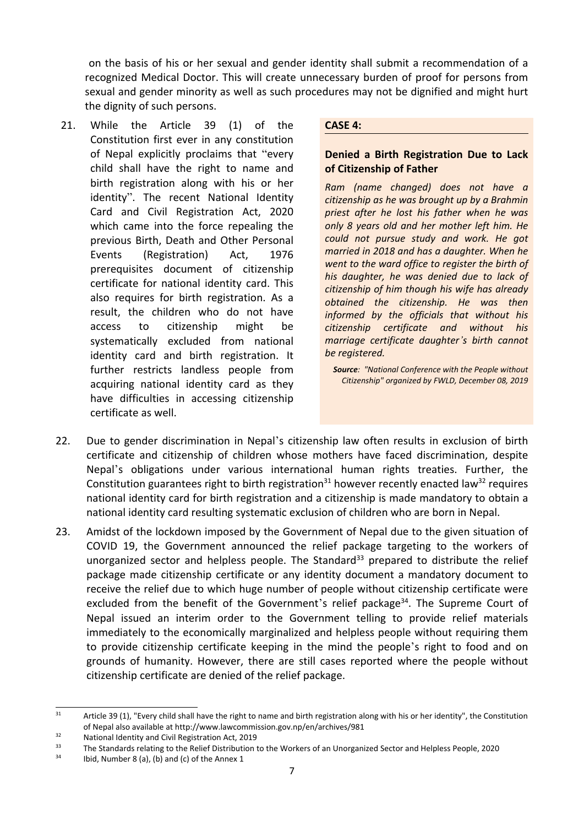on the basis of his or her sexual and gender identity shall submit <sup>a</sup> recommendation of <sup>a</sup> recognized Medical Doctor. This will create unnecessary burden of proof for persons from sexual and gender minority as well as such procedures may not be dignified and might hurt the dignity of such persons.

21. While the Article 39 (1) of the Constitution first ever in any constitution of Nepal explicitly proclaims that "every child shall have the right to name and birth registration along with his or her identity". The recent National Identity Card and Civil Registration Act, 2020 which came into the force repealing the previous Birth, Death and Other Personal Events (Registration) Act, 1976 prerequisites document of citizenship certificate for national identity card. This also requires for birth registration. As <sup>a</sup> result, the children who do not have access to citizenship might be systematically excluded from national identity card and birth registration. It further restricts landless people from acquiring national identity card as they have difficulties in accessing citizenship certificate as well.

#### **CASE 4:**

## **Denied <sup>a</sup> Birth Registration Due to Lack of Citizenship of Father**

*Ram (name changed) does not have <sup>a</sup> citizenship as he was brought up by <sup>a</sup> Brahmin priest after he lost his father when he was only 8 years old and her mother left him. He could not pursue study and work. He got married in 2018 and has <sup>a</sup> daughter. When he went to the ward office to register the birth of his daughter, he was denied due to lack of citizenship of him though his wife has already obtained the citizenship. He was then informed by the officials that without his citizenship certificate and without his marriage certificate daughter'<sup>s</sup> birth cannot be registered.*

*Source: "National Conference with the People without Citizenship" organized by FWLD, December 08, 2019*

- 22. Due to gender discrimination in Nepal'<sup>s</sup> citizenship law often results in exclusion of birth certificate and citizenship of children whose mothers have faced discrimination, despite Nepal'<sup>s</sup> obligations under various international human rights treaties. Further, the Constitution guarantees right to birth registration<sup>31</sup> however recently enacted law<sup>32</sup> requires national identity card for birth registration and <sup>a</sup> citizenship is made mandatory to obtain <sup>a</sup> national identity card resulting systematic exclusion of children who are born in Nepal.
- 23. Amidst of the lockdown imposed by the Government of Nepal due to the given situation of COVID 19, the Government announced the relief package targeting to the workers of unorganized sector and helpless people. The Standard<sup>33</sup> prepared to distribute the relief package made citizenship certificate or any identity document <sup>a</sup> mandatory document to receive the relief due to which huge number of people without citizenship certificate were excluded from the benefit of the Government's relief package<sup>34</sup>. The Supreme Court of Nepal issued an interim order to the Government telling to provide relief materials immediately to the economically marginalized and helpless people without requiring them to provide citizenship certificate keeping in the mind the people'<sup>s</sup> right to food and on grounds of humanity. However, there are still cases reported where the people without citizenship certificate are denied of the relief package.

<sup>31</sup> Article 39 (1), "Every child shall have the right to name and birth registration along with his or her identity", the Constitution of Nepal also available at <http://www.lawcommission.gov.np/en/archives/981>

<sup>32</sup> National Identity and Civil Registration Act, 2019

<sup>33</sup> The Standards relating to the Relief Distribution to the Workers of an Unorganized Sector and Helpless People, 2020

<sup>34</sup> Ibid, Number 8 (a), (b) and (c) of the Annex 1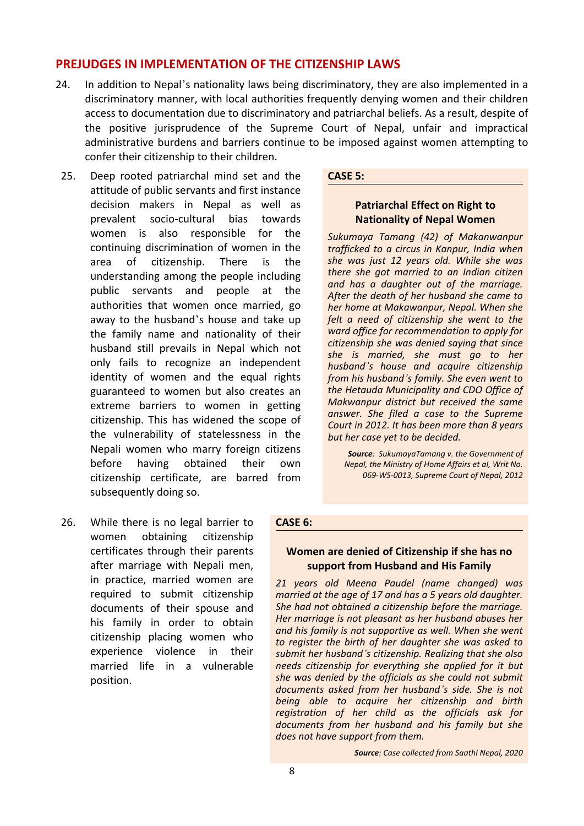## **PREJUDGES IN IMPLEMENTATION OF THE CITIZENSHIP LAWS**

- 24. In addition to Nepal'<sup>s</sup> nationality laws being discriminatory, they are also implemented in <sup>a</sup> discriminatory manner, with local authorities frequently denying women and their children access to documentation due to discriminatory and patriarchal beliefs. As <sup>a</sup> result, despite of the positive jurisprudence of the Supreme Court of Nepal, unfair and impractical administrative burdens and barriers continue to be imposed against women attempting to confer their citizenship to their children.
- 25. Deep rooted patriarchal mind set and the attitude of public servants and first instance decision makers in Nepal as well as prevalent socio-cultural bias towards women is also responsible for the continuing discrimination of women in the area of citizenship. There is the understanding among the people including public servants and people at the authorities that women once married, go away to the husband'<sup>s</sup> house and take up the family name and nationality of their husband still prevails in Nepal which not only fails to recognize an independent identity of women and the equal rights guaranteed to women but also creates an extreme barriers to women in getting citizenship. This has widened the scope of the vulnerability of statelessness in the Nepali women who marry foreign citizens before having obtained their own citizenship certificate, are barred from subsequently doing so.
- 26. While there is no legal barrier to women obtaining citizenship certificates through their parents after marriage with Nepali men, in practice, married women are required to submit citizenship documents of their spouse and his family in order to obtain citizenship placing women who experience violence in their married life in <sup>a</sup> vulnerable position.

#### **CASE 5:**

## **Patriarchal Effect on Right to Nationality of Nepal Women**

*Sukumaya Tamang (42) of Makanwanpur trafficked to <sup>a</sup> circus in Kanpur, India when she was just 12 years old. While she was there she got married to an Indian citizen and has <sup>a</sup> daughter out of the marriage. After the death of her husband she came to her home at Makawanpur, Nepal. When she felt <sup>a</sup> need of citizenship she went to the ward office for recommendation to apply for citizenship she was denied saying that since she is married, she must go to her husband'<sup>s</sup> house and acquire citizenship from his husband'<sup>s</sup> family. She even went to the Hetauda Municipality and CDO Office of Makwanpur district but received the same answer. She filed <sup>a</sup> case to the Supreme Court in 2012. It has been more than 8 years but her case yet to be decided.*

*Source: SukumayaTamang v. the Government of Nepal, the Ministry of Home Affairs et al, Writ No. 069-WS-0013, Supreme Court of Nepal, 2012*

#### **CASE 6:**

#### **Women are denied of Citizenship if she has no support from Husband and His Family**

*21 years old Meena Paudel (name changed) was married at the age of 17 and has <sup>a</sup> 5 years old daughter. She had not obtained <sup>a</sup> citizenship before the marriage. Her marriage is not pleasant as her husband abuses her and his family is not supportive as well. When she went to register the birth of her daughter she was asked to submit her husband'<sup>s</sup> citizenship. Realizing that she also needs citizenship for everything she applied for it but she was denied by the officials as she could not submit documents asked from her husband'<sup>s</sup> side. She is not being able to acquire her citizenship and birth registration of her child as the officials ask for documents from her husband and his family but she does not have support from them.*

*Source: Case collected from Saathi Nepal, 2020*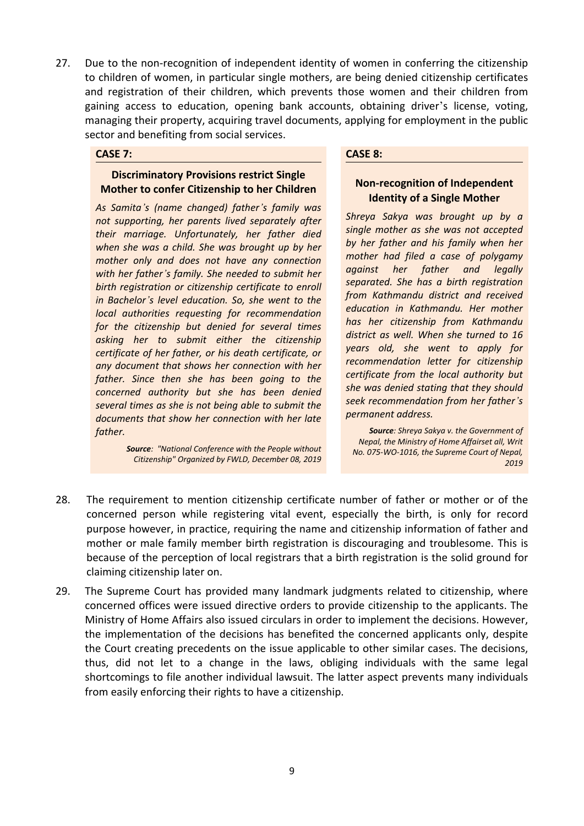27. Due to the non-recognition of independent identity of women in conferring the citizenship to children of women, in particular single mothers, are being denied citizenship certificates and registration of their children, which prevents those women and their children from gaining access to education, opening bank accounts, obtaining driver'<sup>s</sup> license, voting, managing their property, acquiring travel documents, applying for employment in the public sector and benefiting from social services.

#### **CASE 7:**

#### **Discriminatory Provisions restrict Single Mother to confer Citizenship to her Children**

*As Samita'<sup>s</sup> (name changed) father'<sup>s</sup> family was not supporting, her parents lived separately after their marriage. Unfortunately, her father died when she was <sup>a</sup> child. She was brought up by her mother only and does not have any connection with her father'<sup>s</sup> family. She needed to submit her birth registration or citizenship certificate to enroll in Bachelor'<sup>s</sup> level education. So, she went to the local authorities requesting for recommendation for the citizenship but denied for several times asking her to submit either the citizenship certificate of her father, or his death certificate, or any document that shows her connection with her father. Since then she has been going to the concerned authority but she has been denied several times as she is not being able to submit the documents that show her connection with her late father.*

> *Source: "National Conference with the People without Citizenship" Organized by FWLD, December 08, 2019*

#### **CASE 8:**

## **Non-recognition of Independent Identity of <sup>a</sup> Single Mother**

*Shreya Sakya was brought up by <sup>a</sup> single mother as she was not accepted by her father and his family when her mother had filed <sup>a</sup> case of polygamy against her father and legally separated. She has <sup>a</sup> birth registration from Kathmandu district and received education in Kathmandu. Her mother has her citizenship from Kathmandu district as well. When she turned to 16 years old, she went to apply for recommendation letter for citizenship certificate from the local authority but she was denied stating that they should seek recommendation from her father'<sup>s</sup> permanent address.*

*Source: Shreya Sakya v. the Government of Nepal, the Ministry of Home Affairset all, Writ No. 075-WO-1016, the Supreme Court of Nepal, 2019*

- 28. The requirement to mention citizenship certificate number of father or mother or of the concerned person while registering vital event, especially the birth, is only for record purpose however, in practice, requiring the name and citizenship information of father and mother or male family member birth registration is discouraging and troublesome. This is because of the perception of local registrars that <sup>a</sup> birth registration is the solid ground for claiming citizenship later on.
- 29. The Supreme Court has provided many landmark judgments related to citizenship, where concerned offices were issued directive orders to provide citizenship to the applicants. The Ministry of Home Affairs also issued circulars in order to implement the decisions. However, the implementation of the decisions has benefited the concerned applicants only, despite the Court creating precedents on the issue applicable to other similar cases. The decisions, thus, did not let to <sup>a</sup> change in the laws, obliging individuals with the same legal shortcomings to file another individual lawsuit. The latter aspect prevents many individuals from easily enforcing their rights to have <sup>a</sup> citizenship.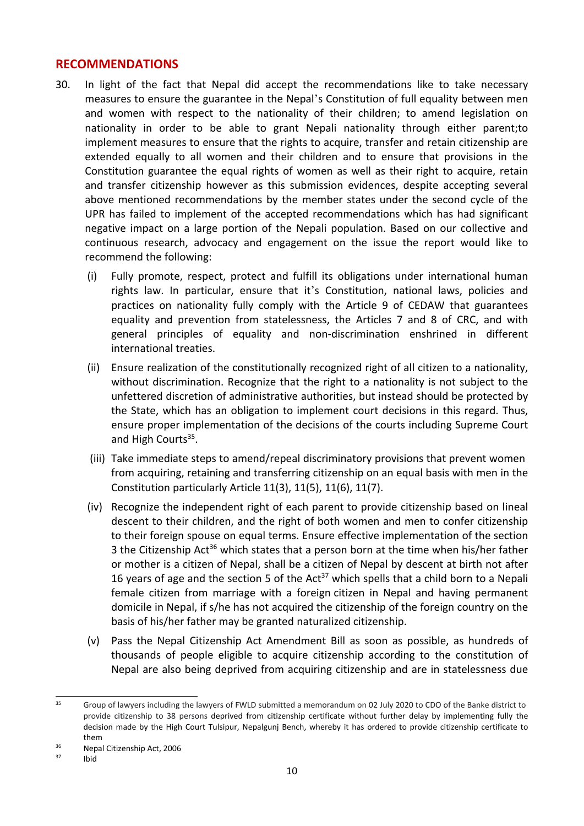## **RECOMMENDATIONS**

- 30. In light of the fact that Nepal did accept the recommendations like to take necessary measures to ensure the guarantee in the Nepal'<sup>s</sup> Constitution of full equality between men and women with respect to the nationality of their children; to amend legislation on nationality in order to be able to grant Nepali nationality through either parent;to implement measures to ensure that the rights to acquire, transfer and retain citizenship are extended equally to all women and their children and to ensure that provisions in the Constitution guarantee the equal rights of women as well as their right to acquire, retain and transfer citizenship however as this submission evidences, despite accepting several above mentioned recommendations by the member states under the second cycle of the UPR has failed to implement of the accepted recommendations which has had significant negative impact on <sup>a</sup> large portion of the Nepali population. Based on our collective and continuous research, advocacy and engagement on the issue the report would like to recommend the following:
	- (i) Fully promote, respect, protect and fulfill its obligations under international human rights law. In particular, ensure that it'<sup>s</sup> Constitution, national laws, policies and practices on nationality fully comply with the Article 9 of CEDAW that guarantees equality and prevention from statelessness, the Articles 7 and 8 of CRC, and with general principles of equality and non-discrimination enshrined in different international treaties.
	- (ii) Ensure realization of the constitutionally recognized right of all citizen to <sup>a</sup> nationality, without discrimination. Recognize that the right to <sup>a</sup> nationality is not subject to the unfettered discretion of administrative authorities, but instead should be protected by the State, which has an obligation to implement court decisions in this regard. Thus, ensure proper implementation of the decisions of the courts including Supreme Court and High Courts<sup>35</sup>.
	- (iii) Take immediate steps to amend/repeal discriminatory provisions that prevent women from acquiring, retaining and transferring citizenship on an equal basis with men in the Constitution particularly Article 11(3), 11(5), 11(6), 11(7).
	- (iv) Recognize the independent right of each parent to provide citizenship based on lineal descent to their children, and the right of both women and men to confer citizenship to their foreign spouse on equal terms. Ensure effective implementation of the section 3 the Citizenship Act<sup>36</sup> which states that a person born at the time when his/her father or mother is <sup>a</sup> citizen of Nepal, shall be <sup>a</sup> citizen of Nepal by descent at birth not after 16 years of age and the section 5 of the Act<sup>37</sup> which spells that a child born to a Nepali female citizen from marriage with <sup>a</sup> foreign citizen in Nepal and having permanent domicile in Nepal, if s/he has not acquired the citizenship of the foreign country on the basis of his/her father may be granted naturalized citizenship.
	- (v) Pass the Nepal Citizenship Act Amendment Bill as soon as possible, as hundreds of thousands of people eligible to acquire citizenship according to the constitution of Nepal are also being deprived from acquiring citizenship and are in statelessness due

<sup>35</sup> Group of lawyers including the lawyers of FWLD submitted <sup>a</sup> memorandum on 02 July 2020 to CDO of the Banke district to provide citizenship to 38 persons deprived from citizenship certificate without further delay by implementing fully the decision made by the High Court Tulsipur, Nepalgunj Bench, whereby it has ordered to provide citizenship certificate to them

<sup>36</sup> Nepal Citizenship Act, 2006

<sup>37</sup> Ibid